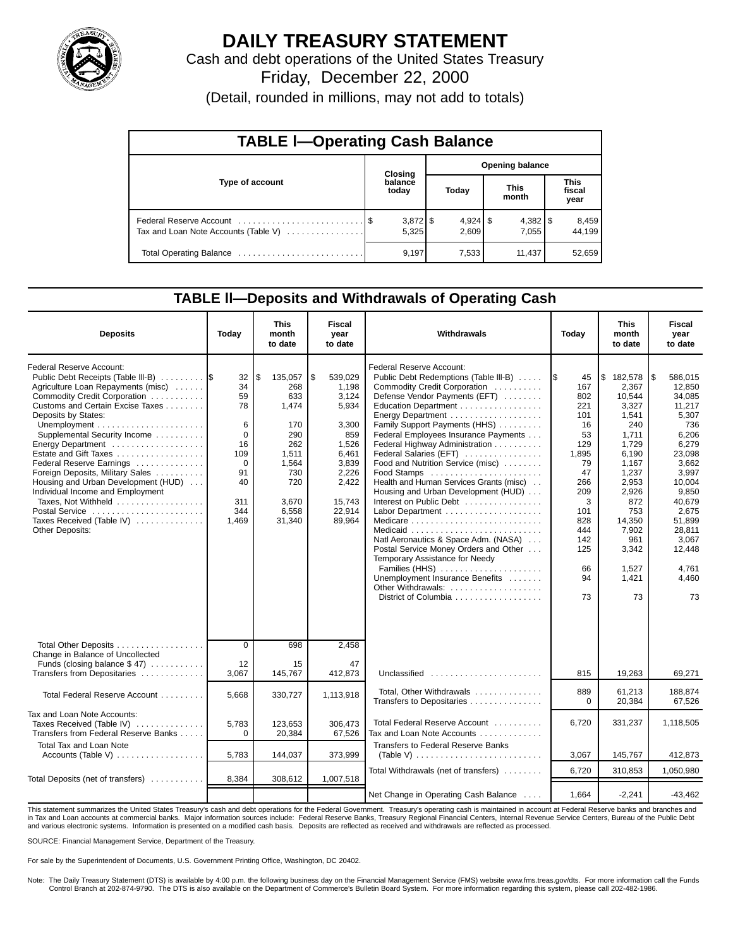

# **DAILY TREASURY STATEMENT**

Cash and debt operations of the United States Treasury Friday, December 22, 2000

(Detail, rounded in millions, may not add to totals)

| <b>TABLE I-Operating Cash Balance</b> |  |                     |                        |                     |                      |                       |                               |                 |  |  |  |
|---------------------------------------|--|---------------------|------------------------|---------------------|----------------------|-----------------------|-------------------------------|-----------------|--|--|--|
|                                       |  | Closing             | <b>Opening balance</b> |                     |                      |                       |                               |                 |  |  |  |
| Type of account                       |  | balance<br>today    |                        | Today               | <b>This</b><br>month |                       | <b>This</b><br>fiscal<br>year |                 |  |  |  |
| Tax and Loan Note Accounts (Table V)  |  | $3,872$ \$<br>5,325 |                        | $4,924$ \$<br>2.609 |                      | $4,382$   \$<br>7.055 |                               | 8,459<br>44.199 |  |  |  |
|                                       |  | 9,197               |                        | 7,533               |                      | 11,437                |                               | 52,659          |  |  |  |

#### **TABLE ll—Deposits and Withdrawals of Operating Cash**

| <b>Deposits</b>                                                                                                                                                                                                                                                                                                                                                                                                                                                                                                   | Today                                                                                      | <b>This</b><br>month<br>to date                                                                                       | Fiscal<br>vear<br>to date                                                                                                             | Withdrawals                                                                                                                                                                                                                                                                                                                                                                                                                                                                                                                                                                                                                                                                                                 | Today                                                                                                                                                 | <b>This</b><br>month<br>to date                                                                                                                                                               | <b>Fiscal</b><br>year<br>to date                                                                                                                                                                                |
|-------------------------------------------------------------------------------------------------------------------------------------------------------------------------------------------------------------------------------------------------------------------------------------------------------------------------------------------------------------------------------------------------------------------------------------------------------------------------------------------------------------------|--------------------------------------------------------------------------------------------|-----------------------------------------------------------------------------------------------------------------------|---------------------------------------------------------------------------------------------------------------------------------------|-------------------------------------------------------------------------------------------------------------------------------------------------------------------------------------------------------------------------------------------------------------------------------------------------------------------------------------------------------------------------------------------------------------------------------------------------------------------------------------------------------------------------------------------------------------------------------------------------------------------------------------------------------------------------------------------------------------|-------------------------------------------------------------------------------------------------------------------------------------------------------|-----------------------------------------------------------------------------------------------------------------------------------------------------------------------------------------------|-----------------------------------------------------------------------------------------------------------------------------------------------------------------------------------------------------------------|
| Federal Reserve Account:<br>Public Debt Receipts (Table III-B)<br>Agriculture Loan Repayments (misc)<br>Commodity Credit Corporation<br>Customs and Certain Excise Taxes<br>Deposits by States:<br>Supplemental Security Income<br>Energy Department<br>Estate and Gift Taxes<br>Federal Reserve Earnings<br>Foreign Deposits, Military Sales<br>Housing and Urban Development (HUD)<br>Individual Income and Employment<br>Taxes, Not Withheld<br>Postal Service<br>Taxes Received (Table IV)<br>Other Deposits: | 32<br>34<br>59<br>78<br>6<br>$\Omega$<br>16<br>109<br>0<br>91<br>40<br>311<br>344<br>1,469 | 135,057<br>\$<br>268<br>633<br>1,474<br>170<br>290<br>262<br>1,511<br>1,564<br>730<br>720<br>3,670<br>6,558<br>31,340 | ا \$<br>539,029<br>1.198<br>3,124<br>5,934<br>3,300<br>859<br>1,526<br>6,461<br>3,839<br>2,226<br>2,422<br>15,743<br>22,914<br>89,964 | Federal Reserve Account:<br>Public Debt Redemptions (Table III-B)<br>Commodity Credit Corporation<br>Defense Vendor Payments (EFT)<br>Education Department<br>Energy Department<br>Family Support Payments (HHS)<br>Federal Employees Insurance Payments<br>Federal Highway Administration<br>Federal Salaries (EFT)<br>Food and Nutrition Service (misc)<br>Food Stamps<br>Health and Human Services Grants (misc)<br>Housing and Urban Development (HUD)<br>Interest on Public Debt<br>Natl Aeronautics & Space Adm. (NASA)<br>Postal Service Money Orders and Other<br>Temporary Assistance for Needy<br>Families (HHS)<br>Unemployment Insurance Benefits<br>Other Withdrawals:<br>District of Columbia | 1\$<br>45<br>167<br>802<br>221<br>101<br>16<br>53<br>129<br>1,895<br>79<br>47<br>266<br>209<br>3<br>101<br>828<br>444<br>142<br>125<br>66<br>94<br>73 | \$182,578<br>2.367<br>10,544<br>3,327<br>1,541<br>240<br>1,711<br>1,729<br>6,190<br>1,167<br>1,237<br>2,953<br>2,926<br>872<br>753<br>14,350<br>7,902<br>961<br>3,342<br>1,527<br>1,421<br>73 | 586,015<br>l\$<br>12.850<br>34,085<br>11,217<br>5,307<br>736<br>6,206<br>6,279<br>23,098<br>3,662<br>3,997<br>10,004<br>9,850<br>40,679<br>2,675<br>51,899<br>28,811<br>3,067<br>12,448<br>4,761<br>4,460<br>73 |
| Total Other Deposits<br>Change in Balance of Uncollected<br>Funds (closing balance $$47$ )                                                                                                                                                                                                                                                                                                                                                                                                                        | $\mathbf 0$<br>12                                                                          | 698<br>15                                                                                                             | 2,458<br>47                                                                                                                           |                                                                                                                                                                                                                                                                                                                                                                                                                                                                                                                                                                                                                                                                                                             |                                                                                                                                                       |                                                                                                                                                                                               |                                                                                                                                                                                                                 |
| Transfers from Depositaries                                                                                                                                                                                                                                                                                                                                                                                                                                                                                       | 3,067                                                                                      | 145,767                                                                                                               | 412,873                                                                                                                               | Unclassified $\ldots \ldots \ldots \ldots \ldots \ldots$                                                                                                                                                                                                                                                                                                                                                                                                                                                                                                                                                                                                                                                    | 815                                                                                                                                                   | 19,263                                                                                                                                                                                        | 69,271                                                                                                                                                                                                          |
| Total Federal Reserve Account                                                                                                                                                                                                                                                                                                                                                                                                                                                                                     | 5.668                                                                                      | 330,727                                                                                                               | 1,113,918                                                                                                                             | Total, Other Withdrawals<br>Transfers to Depositaries                                                                                                                                                                                                                                                                                                                                                                                                                                                                                                                                                                                                                                                       | 889<br>$\Omega$                                                                                                                                       | 61.213<br>20,384                                                                                                                                                                              | 188.874<br>67,526                                                                                                                                                                                               |
| Tax and Loan Note Accounts:<br>Taxes Received (Table IV)<br>Transfers from Federal Reserve Banks                                                                                                                                                                                                                                                                                                                                                                                                                  | 5,783<br>$\Omega$                                                                          | 123,653<br>20,384                                                                                                     | 306,473<br>67,526                                                                                                                     | Total Federal Reserve Account<br>Tax and Loan Note Accounts                                                                                                                                                                                                                                                                                                                                                                                                                                                                                                                                                                                                                                                 | 6.720                                                                                                                                                 | 331,237                                                                                                                                                                                       | 1,118,505                                                                                                                                                                                                       |
| Total Tax and Loan Note<br>Accounts (Table V)                                                                                                                                                                                                                                                                                                                                                                                                                                                                     | 5,783                                                                                      | 144,037                                                                                                               | 373,999                                                                                                                               | <b>Transfers to Federal Reserve Banks</b><br>(Table V) $\ldots \ldots \ldots \ldots \ldots \ldots \ldots$                                                                                                                                                                                                                                                                                                                                                                                                                                                                                                                                                                                                   | 3,067                                                                                                                                                 | 145,767                                                                                                                                                                                       | 412,873                                                                                                                                                                                                         |
|                                                                                                                                                                                                                                                                                                                                                                                                                                                                                                                   |                                                                                            |                                                                                                                       |                                                                                                                                       | Total Withdrawals (net of transfers)                                                                                                                                                                                                                                                                                                                                                                                                                                                                                                                                                                                                                                                                        | 6.720                                                                                                                                                 | 310,853                                                                                                                                                                                       | 1,050,980                                                                                                                                                                                                       |
| Total Deposits (net of transfers)                                                                                                                                                                                                                                                                                                                                                                                                                                                                                 | 8,384                                                                                      | 308,612                                                                                                               | 1,007,518                                                                                                                             | Net Change in Operating Cash Balance                                                                                                                                                                                                                                                                                                                                                                                                                                                                                                                                                                                                                                                                        | 1.664                                                                                                                                                 | $-2.241$                                                                                                                                                                                      | $-43.462$                                                                                                                                                                                                       |

This statement summarizes the United States Treasury's cash and debt operations for the Federal Government. Treasury's operating cash is maintained in account at Federal Reserve banks and branches and<br>in Tax and Loan accou and various electronic systems. Information is presented on a modified cash basis. Deposits are reflected as received and withdrawals are reflected as processed.

SOURCE: Financial Management Service, Department of the Treasury.

For sale by the Superintendent of Documents, U.S. Government Printing Office, Washington, DC 20402.

Note: The Daily Treasury Statement (DTS) is available by 4:00 p.m. the following business day on the Financial Management Service (FMS) website www.fms.treas.gov/dts. For more information call the Funds Control Branch at 202-874-9790. The DTS is also available on the Department of Commerce's Bulletin Board System. For more information regarding this system, please call 202-482-1986.